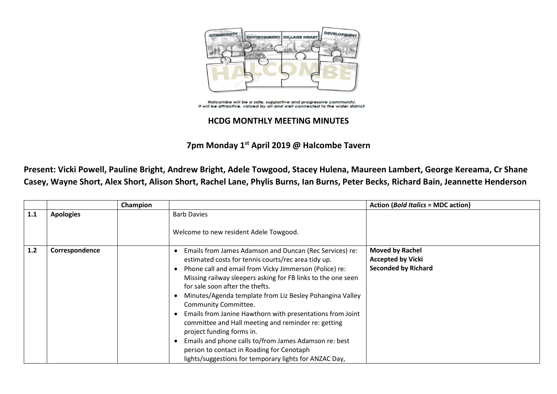

Halcombe will be a safe, supportive and progressive community. It will be attractive, valued by all and well connected to the wider district.

## **HCDG MONTHLY MEETING MINUTES**

**7pm Monday 1 st April 2019 @ Halcombe Tavern**

**Present: Vicki Powell, Pauline Bright, Andrew Bright, Adele Towgood, Stacey Hulena, Maureen Lambert, George Kereama, Cr Shane Casey, Wayne Short, Alex Short, Alison Short, Rachel Lane, Phylis Burns, Ian Burns, Peter Becks, Richard Bain, Jeannette Henderson**

|     |                  | Champion |                                                              | <b>Action (Bold Italics = MDC action)</b> |
|-----|------------------|----------|--------------------------------------------------------------|-------------------------------------------|
| 1.1 | <b>Apologies</b> |          | <b>Barb Davies</b>                                           |                                           |
|     |                  |          | Welcome to new resident Adele Towgood.                       |                                           |
| 1.2 | Correspondence   |          | Emails from James Adamson and Duncan (Rec Services) re:      | <b>Moved by Rachel</b>                    |
|     |                  |          | estimated costs for tennis courts/rec area tidy up.          | <b>Accepted by Vicki</b>                  |
|     |                  |          | Phone call and email from Vicky Jimmerson (Police) re:       | <b>Seconded by Richard</b>                |
|     |                  |          | Missing railway sleepers asking for FB links to the one seen |                                           |
|     |                  |          | for sale soon after the thefts.                              |                                           |
|     |                  |          | Minutes/Agenda template from Liz Besley Pohangina Valley     |                                           |
|     |                  |          | Community Committee.                                         |                                           |
|     |                  |          | Emails from Janine Hawthorn with presentations from Joint    |                                           |
|     |                  |          | committee and Hall meeting and reminder re: getting          |                                           |
|     |                  |          | project funding forms in.                                    |                                           |
|     |                  |          | Emails and phone calls to/from James Adamson re: best        |                                           |
|     |                  |          | person to contact in Roading for Cenotaph                    |                                           |
|     |                  |          | lights/suggestions for temporary lights for ANZAC Day,       |                                           |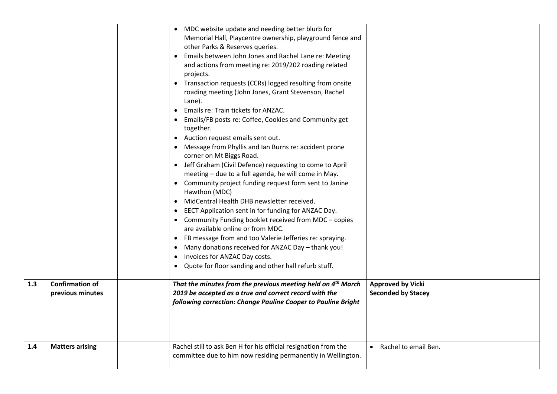|     |                                            | • MDC website update and needing better blurb for<br>Memorial Hall, Playcentre ownership, playground fence and<br>other Parks & Reserves queries.<br>• Emails between John Jones and Rachel Lane re: Meeting<br>and actions from meeting re: 2019/202 roading related<br>projects.<br>• Transaction requests (CCRs) logged resulting from onsite<br>roading meeting (John Jones, Grant Stevenson, Rachel<br>Lane).<br>• Emails re: Train tickets for ANZAC.<br>• Emails/FB posts re: Coffee, Cookies and Community get<br>together.<br>• Auction request emails sent out.<br>Message from Phyllis and Ian Burns re: accident prone<br>corner on Mt Biggs Road.<br>• Jeff Graham (Civil Defence) requesting to come to April<br>meeting - due to a full agenda, he will come in May.<br>• Community project funding request form sent to Janine<br>Hawthon (MDC)<br>MidCentral Health DHB newsletter received.<br>EECT Application sent in for funding for ANZAC Day.<br>• Community Funding booklet received from MDC - copies<br>are available online or from MDC.<br>• FB message from and too Valerie Jefferies re: spraying.<br>Many donations received for ANZAC Day - thank you!<br>Invoices for ANZAC Day costs.<br>Quote for floor sanding and other hall refurb stuff. |                                                       |
|-----|--------------------------------------------|---------------------------------------------------------------------------------------------------------------------------------------------------------------------------------------------------------------------------------------------------------------------------------------------------------------------------------------------------------------------------------------------------------------------------------------------------------------------------------------------------------------------------------------------------------------------------------------------------------------------------------------------------------------------------------------------------------------------------------------------------------------------------------------------------------------------------------------------------------------------------------------------------------------------------------------------------------------------------------------------------------------------------------------------------------------------------------------------------------------------------------------------------------------------------------------------------------------------------------------------------------------------------------|-------------------------------------------------------|
| 1.3 | <b>Confirmation of</b><br>previous minutes | That the minutes from the previous meeting held on 4 <sup>th</sup> March<br>2019 be accepted as a true and correct record with the<br>following correction: Change Pauline Cooper to Pauline Bright                                                                                                                                                                                                                                                                                                                                                                                                                                                                                                                                                                                                                                                                                                                                                                                                                                                                                                                                                                                                                                                                             | <b>Approved by Vicki</b><br><b>Seconded by Stacey</b> |
| 1.4 | <b>Matters arising</b>                     | Rachel still to ask Ben H for his official resignation from the<br>committee due to him now residing permanently in Wellington.                                                                                                                                                                                                                                                                                                                                                                                                                                                                                                                                                                                                                                                                                                                                                                                                                                                                                                                                                                                                                                                                                                                                                 | • Rachel to email Ben.                                |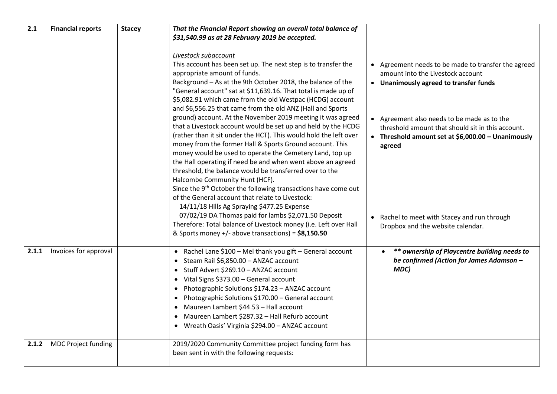| 2.1   | <b>Financial reports</b>   | <b>Stacey</b> | That the Financial Report showing an overall total balance of<br>\$31,540.99 as at 28 February 2019 be accepted.<br>Livestock subaccount                                                                                                                                                                                                                                                                                                                                                                                                                                                                                                                                                                                                                                                      |                                                                                                                                                                                                        |
|-------|----------------------------|---------------|-----------------------------------------------------------------------------------------------------------------------------------------------------------------------------------------------------------------------------------------------------------------------------------------------------------------------------------------------------------------------------------------------------------------------------------------------------------------------------------------------------------------------------------------------------------------------------------------------------------------------------------------------------------------------------------------------------------------------------------------------------------------------------------------------|--------------------------------------------------------------------------------------------------------------------------------------------------------------------------------------------------------|
|       |                            |               | This account has been set up. The next step is to transfer the<br>appropriate amount of funds.<br>Background - As at the 9th October 2018, the balance of the<br>"General account" sat at \$11,639.16. That total is made up of<br>\$5,082.91 which came from the old Westpac (HCDG) account<br>and \$6,556.25 that came from the old ANZ (Hall and Sports<br>ground) account. At the November 2019 meeting it was agreed                                                                                                                                                                                                                                                                                                                                                                     | • Agreement needs to be made to transfer the agreed<br>amount into the Livestock account<br>• Unanimously agreed to transfer funds<br>• Agreement also needs to be made as to the                      |
|       |                            |               | that a Livestock account would be set up and held by the HCDG<br>(rather than it sit under the HCT). This would hold the left over<br>money from the former Hall & Sports Ground account. This<br>money would be used to operate the Cemetery Land, top up<br>the Hall operating if need be and when went above an agreed<br>threshold, the balance would be transferred over to the<br>Halcombe Community Hunt (HCF).<br>Since the 9 <sup>th</sup> October the following transactions have come out<br>of the General account that relate to Livestock:<br>14/11/18 Hills Ag Spraying \$477.25 Expense<br>07/02/19 DA Thomas paid for lambs \$2,071.50 Deposit<br>Therefore: Total balance of Livestock money (i.e. Left over Hall<br>& Sports money $+/-$ above transactions) = $$8,150.50$ | threshold amount that should sit in this account.<br>• Threshold amount set at \$6,000.00 - Unanimously<br>agreed<br>• Rachel to meet with Stacey and run through<br>Dropbox and the website calendar. |
| 2.1.1 | Invoices for approval      |               | • Rachel Lane \$100 - Mel thank you gift - General account<br>• Steam Rail \$6,850.00 - ANZAC account<br>• Stuff Advert \$269.10 - ANZAC account<br>• Vital Signs \$373.00 - General account<br>• Photographic Solutions \$174.23 - ANZAC account<br>• Photographic Solutions \$170.00 - General account<br>• Maureen Lambert \$44.53 - Hall account<br>• Maureen Lambert \$287.32 - Hall Refurb account<br>• Wreath Oasis' Virginia \$294.00 - ANZAC account                                                                                                                                                                                                                                                                                                                                 | ** ownership of Playcentre building needs to<br>be confirmed (Action for James Adamson -<br>MDC)                                                                                                       |
| 2.1.2 | <b>MDC Project funding</b> |               | 2019/2020 Community Committee project funding form has<br>been sent in with the following requests:                                                                                                                                                                                                                                                                                                                                                                                                                                                                                                                                                                                                                                                                                           |                                                                                                                                                                                                        |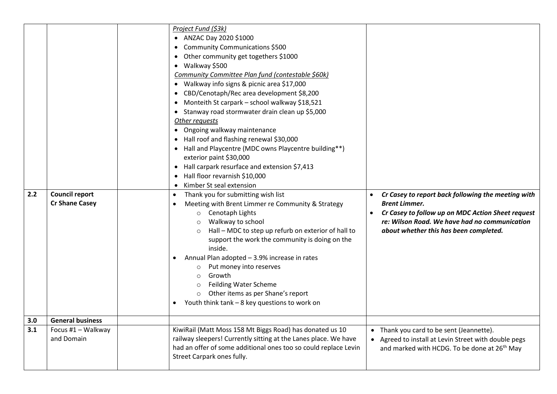| 2.2 | <b>Council report</b><br><b>Cr Shane Casey</b> | Project Fund (\$3k)<br>• ANZAC Day 2020 \$1000<br>Community Communications \$500<br>Other community get togethers \$1000<br>• Walkway \$500<br>Community Committee Plan fund (contestable \$60k)<br>• Walkway info signs & picnic area \$17,000<br>CBD/Cenotaph/Rec area development \$8,200<br>Monteith St carpark - school walkway \$18,521<br>• Stanway road stormwater drain clean up \$5,000<br>Other requests<br>• Ongoing walkway maintenance<br>• Hall roof and flashing renewal \$30,000<br>Hall and Playcentre (MDC owns Playcentre building**)<br>exterior paint \$30,000<br>Hall carpark resurface and extension \$7,413<br>Hall floor revarnish \$10,000<br>Kimber St seal extension<br>Thank you for submitting wish list<br>Meeting with Brent Limmer re Community & Strategy<br>Cenotaph Lights<br>$\circ$<br>Walkway to school<br>Hall - MDC to step up refurb on exterior of hall to<br>$\circ$<br>support the work the community is doing on the<br>inside.<br>Annual Plan adopted - 3.9% increase in rates<br>Put money into reserves<br>Growth<br>$\circ$<br><b>Feilding Water Scheme</b><br>$\circ$<br>Other items as per Shane's report<br>Youth think tank - 8 key questions to work on | Cr Casey to report back following the meeting with<br>$\bullet$<br><b>Brent Limmer.</b><br>Cr Casey to follow up on MDC Action Sheet request<br>re: Wilson Road. We have had no communication<br>about whether this has been completed. |
|-----|------------------------------------------------|-----------------------------------------------------------------------------------------------------------------------------------------------------------------------------------------------------------------------------------------------------------------------------------------------------------------------------------------------------------------------------------------------------------------------------------------------------------------------------------------------------------------------------------------------------------------------------------------------------------------------------------------------------------------------------------------------------------------------------------------------------------------------------------------------------------------------------------------------------------------------------------------------------------------------------------------------------------------------------------------------------------------------------------------------------------------------------------------------------------------------------------------------------------------------------------------------------------------|-----------------------------------------------------------------------------------------------------------------------------------------------------------------------------------------------------------------------------------------|
|     |                                                |                                                                                                                                                                                                                                                                                                                                                                                                                                                                                                                                                                                                                                                                                                                                                                                                                                                                                                                                                                                                                                                                                                                                                                                                                 |                                                                                                                                                                                                                                         |
| 3.0 | <b>General business</b>                        |                                                                                                                                                                                                                                                                                                                                                                                                                                                                                                                                                                                                                                                                                                                                                                                                                                                                                                                                                                                                                                                                                                                                                                                                                 |                                                                                                                                                                                                                                         |
| 3.1 | Focus #1 - Walkway<br>and Domain               | KiwiRail (Matt Moss 158 Mt Biggs Road) has donated us 10<br>railway sleepers! Currently sitting at the Lanes place. We have<br>had an offer of some additional ones too so could replace Levin<br>Street Carpark ones fully.                                                                                                                                                                                                                                                                                                                                                                                                                                                                                                                                                                                                                                                                                                                                                                                                                                                                                                                                                                                    | • Thank you card to be sent (Jeannette).<br>Agreed to install at Levin Street with double pegs<br>and marked with HCDG. To be done at 26 <sup>th</sup> May                                                                              |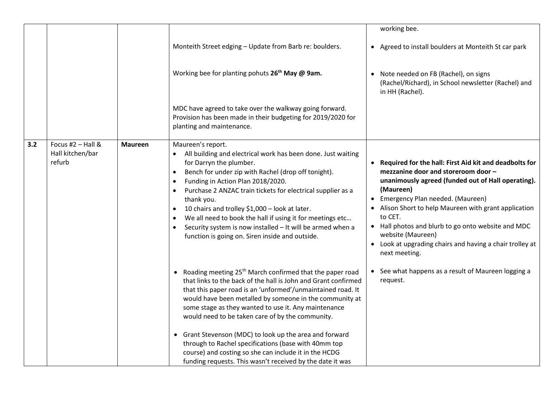|     |                                                   |                |                                                                                                                                                                                                                                                                                                                                                                                                                                                                                                                                                                                                     | working bee.                                                                                                                                                                                                                                                                                                                                                                                                                         |
|-----|---------------------------------------------------|----------------|-----------------------------------------------------------------------------------------------------------------------------------------------------------------------------------------------------------------------------------------------------------------------------------------------------------------------------------------------------------------------------------------------------------------------------------------------------------------------------------------------------------------------------------------------------------------------------------------------------|--------------------------------------------------------------------------------------------------------------------------------------------------------------------------------------------------------------------------------------------------------------------------------------------------------------------------------------------------------------------------------------------------------------------------------------|
|     |                                                   |                | Monteith Street edging - Update from Barb re: boulders.                                                                                                                                                                                                                                                                                                                                                                                                                                                                                                                                             | • Agreed to install boulders at Monteith St car park                                                                                                                                                                                                                                                                                                                                                                                 |
|     |                                                   |                | Working bee for planting pohuts 26 <sup>th</sup> May @ 9am.                                                                                                                                                                                                                                                                                                                                                                                                                                                                                                                                         | Note needed on FB (Rachel), on signs<br>$\bullet$<br>(Rachel/Richard), in School newsletter (Rachel) and<br>in HH (Rachel).                                                                                                                                                                                                                                                                                                          |
|     |                                                   |                | MDC have agreed to take over the walkway going forward.<br>Provision has been made in their budgeting for 2019/2020 for<br>planting and maintenance.                                                                                                                                                                                                                                                                                                                                                                                                                                                |                                                                                                                                                                                                                                                                                                                                                                                                                                      |
| 3.2 | Focus #2 $-$ Hall &<br>Hall kitchen/bar<br>refurb | <b>Maureen</b> | Maureen's report.<br>All building and electrical work has been done. Just waiting<br>for Darryn the plumber.<br>Bench for under zip with Rachel (drop off tonight).<br>$\bullet$<br>Funding in Action Plan 2018/2020.<br>$\bullet$<br>Purchase 2 ANZAC train tickets for electrical supplier as a<br>$\bullet$<br>thank you.<br>10 chairs and trolley \$1,000 - look at later.<br>$\bullet$<br>We all need to book the hall if using it for meetings etc<br>$\bullet$<br>Security system is now installed - It will be armed when a<br>$\bullet$<br>function is going on. Siren inside and outside. | • Required for the hall: First Aid kit and deadbolts for<br>mezzanine door and storeroom door -<br>unanimously agreed (funded out of Hall operating).<br>(Maureen)<br>• Emergency Plan needed. (Maureen)<br>• Alison Short to help Maureen with grant application<br>to CET.<br>• Hall photos and blurb to go onto website and MDC<br>website (Maureen)<br>• Look at upgrading chairs and having a chair trolley at<br>next meeting. |
|     |                                                   |                | • Roading meeting 25 <sup>th</sup> March confirmed that the paper road<br>that links to the back of the hall is John and Grant confirmed<br>that this paper road is an 'unformed'/unmaintained road. It<br>would have been metalled by someone in the community at<br>some stage as they wanted to use it. Any maintenance<br>would need to be taken care of by the community.                                                                                                                                                                                                                      | • See what happens as a result of Maureen logging a<br>request.                                                                                                                                                                                                                                                                                                                                                                      |
|     |                                                   |                | • Grant Stevenson (MDC) to look up the area and forward<br>through to Rachel specifications (base with 40mm top<br>course) and costing so she can include it in the HCDG<br>funding requests. This wasn't received by the date it was                                                                                                                                                                                                                                                                                                                                                               |                                                                                                                                                                                                                                                                                                                                                                                                                                      |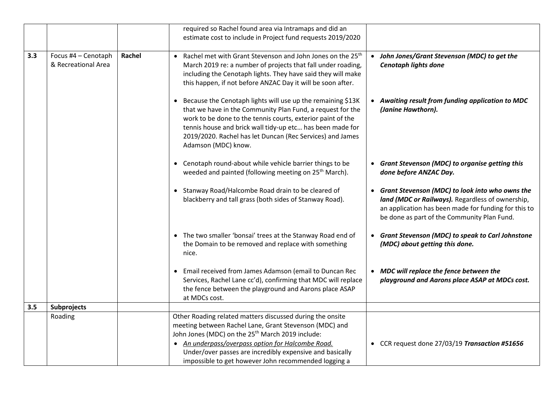|     |                                            |        | required so Rachel found area via Intramaps and did an<br>estimate cost to include in Project fund requests 2019/2020                                                                                                                                                                                                                                        |                                                                                                                                                                                                            |
|-----|--------------------------------------------|--------|--------------------------------------------------------------------------------------------------------------------------------------------------------------------------------------------------------------------------------------------------------------------------------------------------------------------------------------------------------------|------------------------------------------------------------------------------------------------------------------------------------------------------------------------------------------------------------|
| 3.3 | Focus #4 - Cenotaph<br>& Recreational Area | Rachel | • Rachel met with Grant Stevenson and John Jones on the 25 <sup>th</sup><br>March 2019 re: a number of projects that fall under roading,<br>including the Cenotaph lights. They have said they will make<br>this happen, if not before ANZAC Day it will be soon after.                                                                                      | John Jones/Grant Stevenson (MDC) to get the<br>$\bullet$<br><b>Cenotaph lights done</b>                                                                                                                    |
|     |                                            |        | • Because the Cenotaph lights will use up the remaining \$13K<br>that we have in the Community Plan Fund, a request for the<br>work to be done to the tennis courts, exterior paint of the<br>tennis house and brick wall tidy-up etc has been made for<br>2019/2020. Rachel has let Duncan (Rec Services) and James<br>Adamson (MDC) know.                  | • Awaiting result from funding application to MDC<br>(Janine Hawthorn).                                                                                                                                    |
|     |                                            |        | • Cenotaph round-about while vehicle barrier things to be<br>weeded and painted (following meeting on 25 <sup>th</sup> March).                                                                                                                                                                                                                               | <b>Grant Stevenson (MDC) to organise getting this</b><br>done before ANZAC Day.                                                                                                                            |
|     |                                            |        | • Stanway Road/Halcombe Road drain to be cleared of<br>blackberry and tall grass (both sides of Stanway Road).                                                                                                                                                                                                                                               | Grant Stevenson (MDC) to look into who owns the<br>land (MDC or Railways). Regardless of ownership,<br>an application has been made for funding for this to<br>be done as part of the Community Plan Fund. |
|     |                                            |        | • The two smaller 'bonsai' trees at the Stanway Road end of<br>the Domain to be removed and replace with something<br>nice.                                                                                                                                                                                                                                  | • Grant Stevenson (MDC) to speak to Carl Johnstone<br>(MDC) about getting this done.                                                                                                                       |
|     |                                            |        | • Email received from James Adamson (email to Duncan Rec<br>Services, Rachel Lane cc'd), confirming that MDC will replace<br>the fence between the playground and Aarons place ASAP<br>at MDCs cost.                                                                                                                                                         | • MDC will replace the fence between the<br>playground and Aarons place ASAP at MDCs cost.                                                                                                                 |
| 3.5 | Subprojects                                |        |                                                                                                                                                                                                                                                                                                                                                              |                                                                                                                                                                                                            |
|     | Roading                                    |        | Other Roading related matters discussed during the onsite<br>meeting between Rachel Lane, Grant Stevenson (MDC) and<br>John Jones (MDC) on the 25 <sup>th</sup> March 2019 include:<br>• An underpass/overpass option for Halcombe Road.<br>Under/over passes are incredibly expensive and basically<br>impossible to get however John recommended logging a | • CCR request done 27/03/19 Transaction #51656                                                                                                                                                             |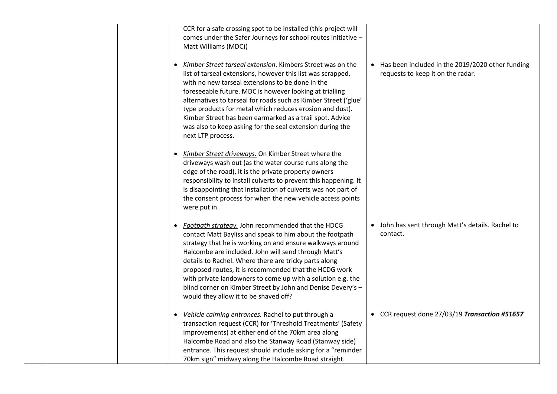|  | CCR for a safe crossing spot to be installed (this project will<br>comes under the Safer Journeys for school routes initiative -<br>Matt Williams (MDC))                                                                                                                                                                                                                                                                                                                                                                    |                                                                                         |
|--|-----------------------------------------------------------------------------------------------------------------------------------------------------------------------------------------------------------------------------------------------------------------------------------------------------------------------------------------------------------------------------------------------------------------------------------------------------------------------------------------------------------------------------|-----------------------------------------------------------------------------------------|
|  | Kimber Street tarseal extension. Kimbers Street was on the<br>list of tarseal extensions, however this list was scrapped,<br>with no new tarseal extensions to be done in the<br>foreseeable future. MDC is however looking at trialling<br>alternatives to tarseal for roads such as Kimber Street ('glue'<br>type products for metal which reduces erosion and dust).<br>Kimber Street has been earmarked as a trail spot. Advice<br>was also to keep asking for the seal extension during the<br>next LTP process.       | • Has been included in the 2019/2020 other funding<br>requests to keep it on the radar. |
|  | Kimber Street driveways. On Kimber Street where the<br>driveways wash out (as the water course runs along the<br>edge of the road), it is the private property owners<br>responsibility to install culverts to prevent this happening. It<br>is disappointing that installation of culverts was not part of<br>the consent process for when the new vehicle access points<br>were put in.                                                                                                                                   |                                                                                         |
|  | Footpath strategy. John recommended that the HDCG<br>contact Matt Bayliss and speak to him about the footpath<br>strategy that he is working on and ensure walkways around<br>Halcombe are included. John will send through Matt's<br>details to Rachel. Where there are tricky parts along<br>proposed routes, it is recommended that the HCDG work<br>with private landowners to come up with a solution e.g. the<br>blind corner on Kimber Street by John and Denise Devery's -<br>would they allow it to be shaved off? | • John has sent through Matt's details. Rachel to<br>contact.                           |
|  | Vehicle calming entrances. Rachel to put through a<br>transaction request (CCR) for 'Threshold Treatments' (Safety<br>improvements) at either end of the 70km area along<br>Halcombe Road and also the Stanway Road (Stanway side)<br>entrance. This request should include asking for a "reminder<br>70km sign" midway along the Halcombe Road straight.                                                                                                                                                                   | • CCR request done 27/03/19 Transaction #51657                                          |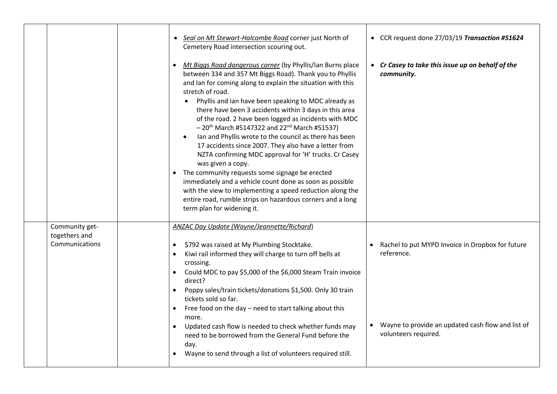|                                                   | • Seal on Mt Stewart-Halcombe Road corner just North of<br>Cemetery Road intersection scouring out.<br>Mt Biggs Road dangerous corner (by Phyllis/lan Burns place<br>between 334 and 357 Mt Biggs Road). Thank you to Phyllis<br>and Ian for coming along to explain the situation with this<br>stretch of road.<br>Phyllis and Ian have been speaking to MDC already as<br>there have been 3 accidents within 3 days in this area<br>of the road. 2 have been logged as incidents with MDC<br>$-20$ <sup>th</sup> March #5147322 and 22 <sup>nd</sup> March #51537)<br>Ian and Phyllis wrote to the council as there has been<br>17 accidents since 2007. They also have a letter from<br>NZTA confirming MDC approval for 'H' trucks. Cr Casey<br>was given a copy.<br>The community requests some signage be erected<br>immediately and a vehicle count done as soon as possible<br>with the view to implementing a speed reduction along the<br>entire road, rumble strips on hazardous corners and a long<br>term plan for widening it. | • CCR request done 27/03/19 Transaction #51624<br>• Cr Casey to take this issue up on behalf of the<br>community.                           |
|---------------------------------------------------|----------------------------------------------------------------------------------------------------------------------------------------------------------------------------------------------------------------------------------------------------------------------------------------------------------------------------------------------------------------------------------------------------------------------------------------------------------------------------------------------------------------------------------------------------------------------------------------------------------------------------------------------------------------------------------------------------------------------------------------------------------------------------------------------------------------------------------------------------------------------------------------------------------------------------------------------------------------------------------------------------------------------------------------------|---------------------------------------------------------------------------------------------------------------------------------------------|
| Community get-<br>togethers and<br>Communications | ANZAC Day Update (Wayne/Jeannette/Richard)<br>\$792 was raised at My Plumbing Stocktake.<br>Kiwi rail informed they will charge to turn off bells at<br>crossing.<br>Could MDC to pay \$5,000 of the \$6,000 Steam Train invoice<br>$\bullet$<br>direct?<br>Poppy sales/train tickets/donations \$1,500. Only 30 train<br>tickets sold so far.<br>Free food on the day - need to start talking about this<br>more.<br>Updated cash flow is needed to check whether funds may<br>need to be borrowed from the General Fund before the<br>day.<br>Wayne to send through a list of volunteers required still.                                                                                                                                                                                                                                                                                                                                                                                                                                   | Rachel to put MYPD Invoice in Dropbox for future<br>reference.<br>Wayne to provide an updated cash flow and list of<br>volunteers required. |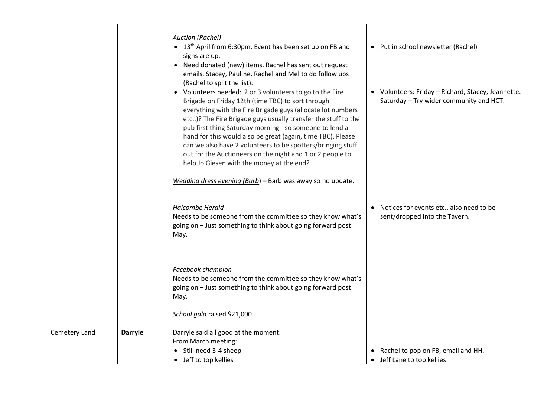|               |                | <b>Auction (Rachel)</b><br>• 13 <sup>th</sup> April from 6:30pm. Event has been set up on FB and<br>signs are up.<br>• Need donated (new) items. Rachel has sent out request<br>emails. Stacey, Pauline, Rachel and Mel to do follow ups<br>(Rachel to split the list).<br>• Volunteers needed: 2 or 3 volunteers to go to the Fire                                                                                                                                                  | • Put in school newsletter (Rachel)<br>• Volunteers: Friday - Richard, Stacey, Jeannette. |
|---------------|----------------|--------------------------------------------------------------------------------------------------------------------------------------------------------------------------------------------------------------------------------------------------------------------------------------------------------------------------------------------------------------------------------------------------------------------------------------------------------------------------------------|-------------------------------------------------------------------------------------------|
|               |                | Brigade on Friday 12th (time TBC) to sort through<br>everything with the Fire Brigade guys (allocate lot numbers<br>etc)? The Fire Brigade guys usually transfer the stuff to the<br>pub first thing Saturday morning - so someone to lend a<br>hand for this would also be great (again, time TBC). Please<br>can we also have 2 volunteers to be spotters/bringing stuff<br>out for the Auctioneers on the night and 1 or 2 people to<br>help Jo Giesen with the money at the end? | Saturday - Try wider community and HCT.                                                   |
|               |                | Wedding dress evening (Barb) - Barb was away so no update.                                                                                                                                                                                                                                                                                                                                                                                                                           |                                                                                           |
|               |                | <b>Halcombe Herald</b><br>Needs to be someone from the committee so they know what's<br>going on - Just something to think about going forward post<br>May.                                                                                                                                                                                                                                                                                                                          | • Notices for events etc also need to be<br>sent/dropped into the Tavern.                 |
|               |                | Facebook champion<br>Needs to be someone from the committee so they know what's<br>going on - Just something to think about going forward post<br>May.                                                                                                                                                                                                                                                                                                                               |                                                                                           |
|               |                | School gala raised \$21,000                                                                                                                                                                                                                                                                                                                                                                                                                                                          |                                                                                           |
| Cemetery Land | <b>Darryle</b> | Darryle said all good at the moment.<br>From March meeting:<br>• Still need 3-4 sheep                                                                                                                                                                                                                                                                                                                                                                                                | Rachel to pop on FB, email and HH.                                                        |
|               |                | • Jeff to top kellies                                                                                                                                                                                                                                                                                                                                                                                                                                                                | • Jeff Lane to top kellies                                                                |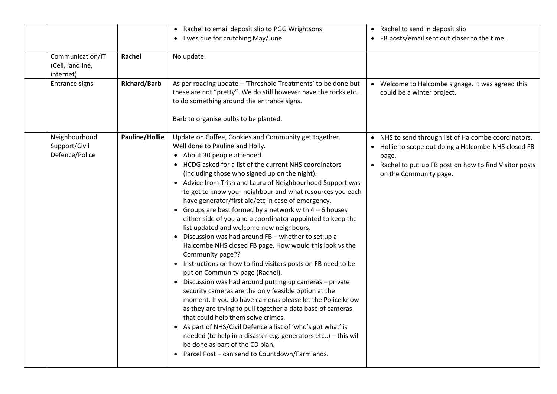| Communication/IT<br>(Cell, landline,<br>internet)<br><b>Entrance signs</b> | Rachel<br><b>Richard/Barb</b> | • Rachel to email deposit slip to PGG Wrightsons<br>• Ewes due for crutching May/June<br>No update.<br>As per roading update - 'Threshold Treatments' to be done but<br>these are not "pretty". We do still however have the rocks etc<br>to do something around the entrance signs.                                                                                                                                                                                                                                                                                                                                                                                                                                                                                                                                                                                                                                                                                                                                                                                                                                                                                                                                                                                                                                                                                                        | • Rachel to send in deposit slip<br>• FB posts/email sent out closer to the time.<br>• Welcome to Halcombe signage. It was agreed this<br>could be a winter project.                                   |
|----------------------------------------------------------------------------|-------------------------------|---------------------------------------------------------------------------------------------------------------------------------------------------------------------------------------------------------------------------------------------------------------------------------------------------------------------------------------------------------------------------------------------------------------------------------------------------------------------------------------------------------------------------------------------------------------------------------------------------------------------------------------------------------------------------------------------------------------------------------------------------------------------------------------------------------------------------------------------------------------------------------------------------------------------------------------------------------------------------------------------------------------------------------------------------------------------------------------------------------------------------------------------------------------------------------------------------------------------------------------------------------------------------------------------------------------------------------------------------------------------------------------------|--------------------------------------------------------------------------------------------------------------------------------------------------------------------------------------------------------|
| Neighbourhood<br>Support/Civil<br>Defence/Police                           | Pauline/Hollie                | Barb to organise bulbs to be planted.<br>Update on Coffee, Cookies and Community get together.<br>Well done to Pauline and Holly.<br>• About 30 people attended.<br>• HCDG asked for a list of the current NHS coordinators<br>(including those who signed up on the night).<br>• Advice from Trish and Laura of Neighbourhood Support was<br>to get to know your neighbour and what resources you each<br>have generator/first aid/etc in case of emergency.<br>• Groups are best formed by a network with $4-6$ houses<br>either side of you and a coordinator appointed to keep the<br>list updated and welcome new neighbours.<br>• Discussion was had around FB - whether to set up a<br>Halcombe NHS closed FB page. How would this look vs the<br>Community page??<br>• Instructions on how to find visitors posts on FB need to be<br>put on Community page (Rachel).<br>• Discussion was had around putting up cameras - private<br>security cameras are the only feasible option at the<br>moment. If you do have cameras please let the Police know<br>as they are trying to pull together a data base of cameras<br>that could help them solve crimes.<br>• As part of NHS/Civil Defence a list of 'who's got what' is<br>needed (to help in a disaster e.g. generators etc) - this will<br>be done as part of the CD plan.<br>• Parcel Post - can send to Countdown/Farmlands. | • NHS to send through list of Halcombe coordinators.<br>Hollie to scope out doing a Halcombe NHS closed FB<br>page.<br>Rachel to put up FB post on how to find Visitor posts<br>on the Community page. |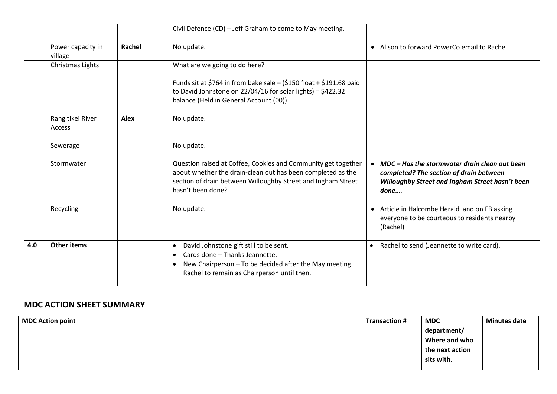|     |                              |             | Civil Defence (CD) - Jeff Graham to come to May meeting.                                                                                                                                                                 |                                                                                                                                                                  |
|-----|------------------------------|-------------|--------------------------------------------------------------------------------------------------------------------------------------------------------------------------------------------------------------------------|------------------------------------------------------------------------------------------------------------------------------------------------------------------|
|     | Power capacity in<br>village | Rachel      | No update.                                                                                                                                                                                                               | • Alison to forward PowerCo email to Rachel.                                                                                                                     |
|     | Christmas Lights             |             | What are we going to do here?                                                                                                                                                                                            |                                                                                                                                                                  |
|     |                              |             | Funds sit at \$764 in from bake sale $-$ (\$150 float + \$191.68 paid<br>to David Johnstone on $22/04/16$ for solar lights) = \$422.32<br>balance (Held in General Account (00))                                         |                                                                                                                                                                  |
|     | Rangitikei River<br>Access   | <b>Alex</b> | No update.                                                                                                                                                                                                               |                                                                                                                                                                  |
|     | Sewerage                     |             | No update.                                                                                                                                                                                                               |                                                                                                                                                                  |
|     | Stormwater                   |             | Question raised at Coffee, Cookies and Community get together<br>about whether the drain-clean out has been completed as the<br>section of drain between Willoughby Street and Ingham Street<br>hasn't been done?        | MDC – Has the stormwater drain clean out been<br>$\bullet$<br>completed? The section of drain between<br>Willoughby Street and Ingham Street hasn't been<br>done |
|     | Recycling                    |             | No update.                                                                                                                                                                                                               | • Article in Halcombe Herald and on FB asking<br>everyone to be courteous to residents nearby<br>(Rachel)                                                        |
| 4.0 | <b>Other items</b>           |             | David Johnstone gift still to be sent.<br>$\bullet$<br>Cards done - Thanks Jeannette.<br>$\bullet$<br>New Chairperson - To be decided after the May meeting.<br>$\bullet$<br>Rachel to remain as Chairperson until then. | Rachel to send (Jeannette to write card).<br>$\bullet$                                                                                                           |

## **MDC ACTION SHEET SUMMARY**

| MDC Action point | <b>Transaction #</b> | <b>MDC</b>      | <b>Minutes date</b> |
|------------------|----------------------|-----------------|---------------------|
|                  |                      | department/     |                     |
|                  |                      | Where and who   |                     |
|                  |                      | the next action |                     |
|                  |                      | sits with.      |                     |
|                  |                      |                 |                     |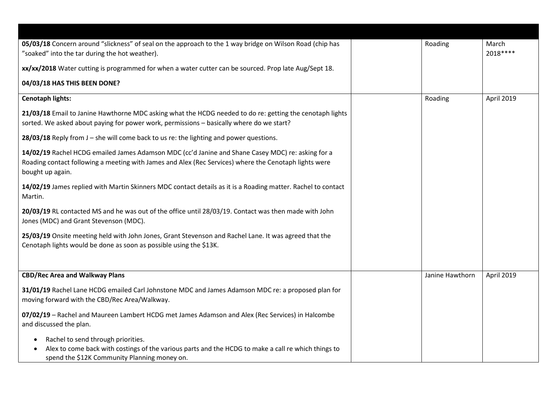| 05/03/18 Concern around "slickness" of seal on the approach to the 1 way bridge on Wilson Road (chip has<br>"soaked" into the tar during the hot weather).                                                                     | Roading         | March<br>2018 **** |
|--------------------------------------------------------------------------------------------------------------------------------------------------------------------------------------------------------------------------------|-----------------|--------------------|
| xx/xx/2018 Water cutting is programmed for when a water cutter can be sourced. Prop late Aug/Sept 18.                                                                                                                          |                 |                    |
| 04/03/18 HAS THIS BEEN DONE?                                                                                                                                                                                                   |                 |                    |
| <b>Cenotaph lights:</b>                                                                                                                                                                                                        | Roading         | April 2019         |
| 21/03/18 Email to Janine Hawthorne MDC asking what the HCDG needed to do re: getting the cenotaph lights<br>sorted. We asked about paying for power work, permissions - basically where do we start?                           |                 |                    |
| 28/03/18 Reply from J - she will come back to us re: the lighting and power questions.                                                                                                                                         |                 |                    |
| 14/02/19 Rachel HCDG emailed James Adamson MDC (cc'd Janine and Shane Casey MDC) re: asking for a<br>Roading contact following a meeting with James and Alex (Rec Services) where the Cenotaph lights were<br>bought up again. |                 |                    |
| 14/02/19 James replied with Martin Skinners MDC contact details as it is a Roading matter. Rachel to contact<br>Martin.                                                                                                        |                 |                    |
| 20/03/19 RL contacted MS and he was out of the office until 28/03/19. Contact was then made with John<br>Jones (MDC) and Grant Stevenson (MDC).                                                                                |                 |                    |
| 25/03/19 Onsite meeting held with John Jones, Grant Stevenson and Rachel Lane. It was agreed that the<br>Cenotaph lights would be done as soon as possible using the \$13K.                                                    |                 |                    |
|                                                                                                                                                                                                                                |                 |                    |
| <b>CBD/Rec Area and Walkway Plans</b>                                                                                                                                                                                          | Janine Hawthorn | April 2019         |
| 31/01/19 Rachel Lane HCDG emailed Carl Johnstone MDC and James Adamson MDC re: a proposed plan for<br>moving forward with the CBD/Rec Area/Walkway.                                                                            |                 |                    |
| 07/02/19 - Rachel and Maureen Lambert HCDG met James Adamson and Alex (Rec Services) in Halcombe<br>and discussed the plan.                                                                                                    |                 |                    |
| Rachel to send through priorities.<br>Alex to come back with costings of the various parts and the HCDG to make a call re which things to<br>spend the \$12K Community Planning money on.                                      |                 |                    |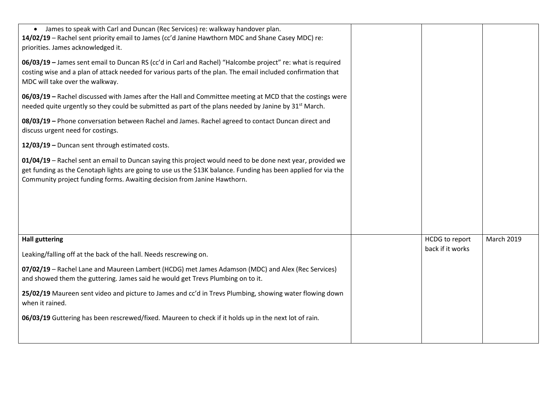| • James to speak with Carl and Duncan (Rec Services) re: walkway handover plan.<br>14/02/19 - Rachel sent priority email to James (cc'd Janine Hawthorn MDC and Shane Casey MDC) re:<br>priorities. James acknowledged it.<br>06/03/19 - James sent email to Duncan RS (cc'd in Carl and Rachel) "Halcombe project" re: what is required<br>costing wise and a plan of attack needed for various parts of the plan. The email included confirmation that<br>MDC will take over the walkway.<br>06/03/19 - Rachel discussed with James after the Hall and Committee meeting at MCD that the costings were<br>needed quite urgently so they could be submitted as part of the plans needed by Janine by 31 <sup>st</sup> March. |                                           |                   |
|-------------------------------------------------------------------------------------------------------------------------------------------------------------------------------------------------------------------------------------------------------------------------------------------------------------------------------------------------------------------------------------------------------------------------------------------------------------------------------------------------------------------------------------------------------------------------------------------------------------------------------------------------------------------------------------------------------------------------------|-------------------------------------------|-------------------|
| 08/03/19 - Phone conversation between Rachel and James. Rachel agreed to contact Duncan direct and<br>discuss urgent need for costings.                                                                                                                                                                                                                                                                                                                                                                                                                                                                                                                                                                                       |                                           |                   |
| 12/03/19 - Duncan sent through estimated costs.                                                                                                                                                                                                                                                                                                                                                                                                                                                                                                                                                                                                                                                                               |                                           |                   |
| 01/04/19 - Rachel sent an email to Duncan saying this project would need to be done next year, provided we<br>get funding as the Cenotaph lights are going to use us the \$13K balance. Funding has been applied for via the<br>Community project funding forms. Awaiting decision from Janine Hawthorn.                                                                                                                                                                                                                                                                                                                                                                                                                      |                                           |                   |
| <b>Hall guttering</b>                                                                                                                                                                                                                                                                                                                                                                                                                                                                                                                                                                                                                                                                                                         | <b>HCDG</b> to report<br>back if it works | <b>March 2019</b> |
| Leaking/falling off at the back of the hall. Needs rescrewing on.                                                                                                                                                                                                                                                                                                                                                                                                                                                                                                                                                                                                                                                             |                                           |                   |
| 07/02/19 - Rachel Lane and Maureen Lambert (HCDG) met James Adamson (MDC) and Alex (Rec Services)<br>and showed them the guttering. James said he would get Trevs Plumbing on to it.                                                                                                                                                                                                                                                                                                                                                                                                                                                                                                                                          |                                           |                   |
| 25/02/19 Maureen sent video and picture to James and cc'd in Trevs Plumbing, showing water flowing down<br>when it rained.                                                                                                                                                                                                                                                                                                                                                                                                                                                                                                                                                                                                    |                                           |                   |
| 06/03/19 Guttering has been rescrewed/fixed. Maureen to check if it holds up in the next lot of rain.                                                                                                                                                                                                                                                                                                                                                                                                                                                                                                                                                                                                                         |                                           |                   |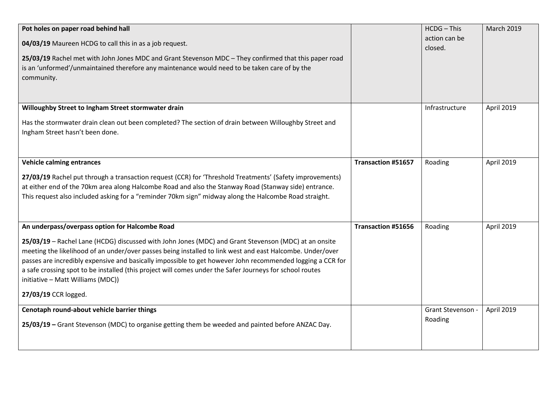| Pot holes on paper road behind hall<br>04/03/19 Maureen HCDG to call this in as a job request.<br>25/03/19 Rachel met with John Jones MDC and Grant Stevenson MDC - They confirmed that this paper road<br>is an 'unformed'/unmaintained therefore any maintenance would need to be taken care of by the<br>community.                                                                                                                                                                                                                                     |                           | <b>HCDG</b> - This<br>action can be<br>closed. | <b>March 2019</b> |
|------------------------------------------------------------------------------------------------------------------------------------------------------------------------------------------------------------------------------------------------------------------------------------------------------------------------------------------------------------------------------------------------------------------------------------------------------------------------------------------------------------------------------------------------------------|---------------------------|------------------------------------------------|-------------------|
| Willoughby Street to Ingham Street stormwater drain<br>Has the stormwater drain clean out been completed? The section of drain between Willoughby Street and<br>Ingham Street hasn't been done.                                                                                                                                                                                                                                                                                                                                                            |                           | Infrastructure                                 | April 2019        |
| <b>Vehicle calming entrances</b><br>27/03/19 Rachel put through a transaction request (CCR) for 'Threshold Treatments' (Safety improvements)<br>at either end of the 70km area along Halcombe Road and also the Stanway Road (Stanway side) entrance.<br>This request also included asking for a "reminder 70km sign" midway along the Halcombe Road straight.                                                                                                                                                                                             | <b>Transaction #51657</b> | Roading                                        | April 2019        |
| An underpass/overpass option for Halcombe Road<br>25/03/19 - Rachel Lane (HCDG) discussed with John Jones (MDC) and Grant Stevenson (MDC) at an onsite<br>meeting the likelihood of an under/over passes being installed to link west and east Halcombe. Under/over<br>passes are incredibly expensive and basically impossible to get however John recommended logging a CCR for<br>a safe crossing spot to be installed (this project will comes under the Safer Journeys for school routes<br>initiative - Matt Williams (MDC))<br>27/03/19 CCR logged. | <b>Transaction #51656</b> | Roading                                        | April 2019        |
| Cenotaph round-about vehicle barrier things<br>25/03/19 - Grant Stevenson (MDC) to organise getting them be weeded and painted before ANZAC Day.                                                                                                                                                                                                                                                                                                                                                                                                           |                           | Grant Stevenson -<br>Roading                   | April 2019        |